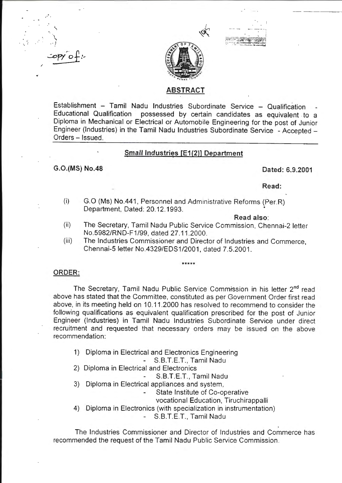·· I  $\mathcal{L}$  opy of :-

.... *:* 

/ ... ·.





# ABSTRACT

Establishment - Tamil Nadu Industries Subordinate Service - Qualification Educational Qualification possessed by certain candidates as equivalent . to a Diploma in Mechanical or Electrical or Automobile Engineering for the post of Junior Engineer (Industries) in the Tamil Nadu Industries Subordinate Service - Accepted - Orders - Issued.

# Small Industries [E1(2)] Department

# G.O.(MS) No.48 Dated: 6.9.2001

Read:

(i) G.O (Ms) No.441 , Personnel and Administrative Reforms (Per.R) Department, Dated: 20.12.1993. •

#### Read also:

- (ii) The Secretary, Tamil Nadu Public Service Commission, Chennai-2 letter No.5982/RND-F1/99, dated 27.11 .2000.
- (iii) The Industries Commissioner and Director of Industries and Commerce, Chennai-5 letter No.4329/EDS1/2001 , dated 7.5.2001 .

\*\*\*\*\*

# ORDER:

The Secretary, Tamil Nadu Public Service Commission in his letter 2<sup>nd</sup> read above has stated that the Committee, constituted as per Government Order first read above, in its meeting held on 10.11 .2000 has resolved to recommend to consider the following qualifications as equivalent qualification prescribed for the post of Junior Engineer (Industries) in Tamil Nadu Industries Subordinate Service under direct recruitment and requested that necessary orders may be issued on the above recommendation:

1) Diploma in Electrical and Electronics Engineering

S.B.T.E.T., Tamil Nadu

- 2) Diploma in Electrical and Electronics
	- S.B.T.E.T., Tamil Nadu
- 3) Diploma in Electrical appliances and system,
	- State Institute of Co-operative
		- vocational Education, Tiruchirappalli
- 4) Diploma in Electronics (with specialization in instrumentation)

S.B.T.E.T., Tamil Nadu

The Industries Commissioner and Director of Industries and Commerce has recommended the request of the Tamil Nadu Public Service Commission.